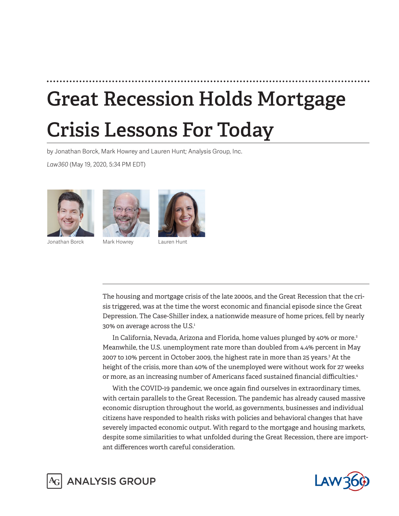# **Great Recession Holds Mortgage Crisis Lessons For Today**

by Jonathan Borck, Mark Howrey and Lauren Hunt; Analysis Group, Inc.

*Law360* (May 19, 2020, 5:34 PM EDT)







Jonathan Borck Mark Howrey Lauren Hunt

The housing and mortgage crisis of the late 2000s, and the Great Recession that the crisis triggered, was at the time the worst economic and financial episode since the Great Depression. The Case-Shiller index, a nationwide measure of home prices, fell by nearly 30% on average across the U.S.<sup>1</sup>

In California, Nevada, Arizona and Florida, home values plunged by 40% or more.<sup>2</sup> Meanwhile, the U.S. unemployment rate more than doubled from 4.4% percent in May 2007 to 10% percent in October 2009, the highest rate in more than 25 years.<sup>3</sup> At the height of the crisis, more than 40% of the unemployed were without work for 27 weeks or more, as an increasing number of Americans faced sustained financial difficulties.4

With the COVID-19 pandemic, we once again find ourselves in extraordinary times, with certain parallels to the Great Recession. The pandemic has already caused massive economic disruption throughout the world, as governments, businesses and individual citizens have responded to health risks with policies and behavioral changes that have severely impacted economic output. With regard to the mortgage and housing markets, despite some similarities to what unfolded during the Great Recession, there are important differences worth careful consideration.



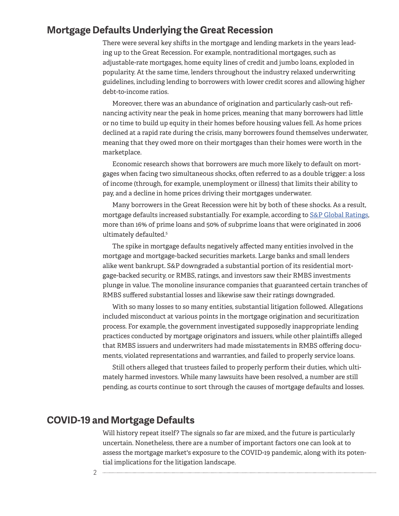#### **Mortgage Defaults Underlying the Great Recession**

There were several key shifts in the mortgage and lending markets in the years leading up to the Great Recession. For example, nontraditional mortgages, such as adjustable-rate mortgages, home equity lines of credit and jumbo loans, exploded in popularity. At the same time, lenders throughout the industry relaxed underwriting guidelines, including lending to borrowers with lower credit scores and allowing higher debt-to-income ratios.

Moreover, there was an abundance of origination and particularly cash-out refinancing activity near the peak in home prices, meaning that many borrowers had little or no time to build up equity in their homes before housing values fell. As home prices declined at a rapid rate during the crisis, many borrowers found themselves underwater, meaning that they owed more on their mortgages than their homes were worth in the marketplace.

Economic research shows that borrowers are much more likely to default on mortgages when facing two simultaneous shocks, often referred to as a double trigger: a loss of income (through, for example, unemployment or illness) that limits their ability to pay, and a decline in home prices driving their mortgages underwater.

Many borrowers in the Great Recession were hit by both of these shocks. As a result, mortgage defaults increased substantially. For example, according to [S&P Global Ratings](https://www.law360.com/companies/s-p-global-inc), more than 16% of prime loans and 50% of subprime loans that were originated in 2006 ultimately defaulted.<sup>5</sup>

The spike in mortgage defaults negatively affected many entities involved in the mortgage and mortgage-backed securities markets. Large banks and small lenders alike went bankrupt. S&P downgraded a substantial portion of its residential mortgage-backed security, or RMBS, ratings, and investors saw their RMBS investments plunge in value. The monoline insurance companies that guaranteed certain tranches of RMBS suffered substantial losses and likewise saw their ratings downgraded.

With so many losses to so many entities, substantial litigation followed. Allegations included misconduct at various points in the mortgage origination and securitization process. For example, the government investigated supposedly inappropriate lending practices conducted by mortgage originators and issuers, while other plaintiffs alleged that RMBS issuers and underwriters had made misstatements in RMBS offering documents, violated representations and warranties, and failed to properly service loans.

Still others alleged that trustees failed to properly perform their duties, which ultimately harmed investors. While many lawsuits have been resolved, a number are still pending, as courts continue to sort through the causes of mortgage defaults and losses.

### **COVID-19 and Mortgage Defaults**

Will history repeat itself? The signals so far are mixed, and the future is particularly uncertain. Nonetheless, there are a number of important factors one can look at to assess the mortgage market's exposure to the COVID-19 pandemic, along with its potential implications for the litigation landscape.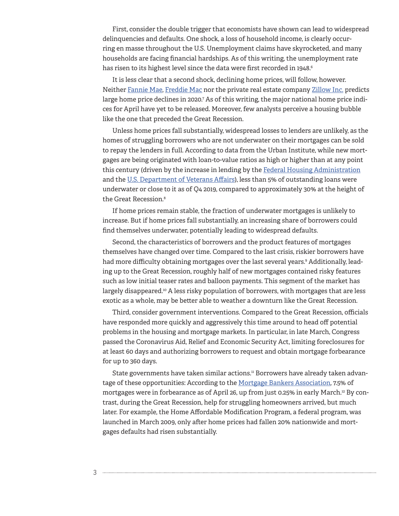First, consider the double trigger that economists have shown can lead to widespread delinquencies and defaults. One shock, a loss of household income, is clearly occurring en masse throughout the U.S. Unemployment claims have skyrocketed, and many households are facing financial hardships. As of this writing, the unemployment rate has risen to its highest level since the data were first recorded in 1948.<sup>6</sup>

It is less clear that a second shock, declining home prices, will follow, however. Neither [Fannie Mae](https://www.law360.com/companies/fannie-mae), [Freddie Mac](https://www.law360.com/companies/freddie-mac) nor the private real estate company [Zillow Inc.](https://www.law360.com/companies/zillow-inc) predicts large home price declines in 2020.<sup>7</sup> As of this writing, the major national home price indices for April have yet to be released. Moreover, few analysts perceive a housing bubble like the one that preceded the Great Recession.

Unless home prices fall substantially, widespread losses to lenders are unlikely, as the homes of struggling borrowers who are not underwater on their mortgages can be sold to repay the lenders in full. According to data from the Urban Institute, while new mortgages are being originated with loan-to-value ratios as high or higher than at any point this century (driven by the increase in lending by the [Federal Housing Administration](https://www.law360.com/agencies/federal-housing-administration) and the [U.S. Department of Veterans Affairs](https://www.law360.com/agencies/u-s-department-of-veterans-affairs)), less than 5% of outstanding loans were underwater or close to it as of Q4 2019, compared to approximately 30% at the height of the Great Recession.<sup>8</sup>

If home prices remain stable, the fraction of underwater mortgages is unlikely to increase. But if home prices fall substantially, an increasing share of borrowers could find themselves underwater, potentially leading to widespread defaults.

Second, the characteristics of borrowers and the product features of mortgages themselves have changed over time. Compared to the last crisis, riskier borrowers have had more difficulty obtaining mortgages over the last several years.9 Additionally, leading up to the Great Recession, roughly half of new mortgages contained risky features such as low initial teaser rates and balloon payments. This segment of the market has largely disappeared.<sup>10</sup> A less risky population of borrowers, with mortgages that are less exotic as a whole, may be better able to weather a downturn like the Great Recession.

Third, consider government interventions. Compared to the Great Recession, officials have responded more quickly and aggressively this time around to head off potential problems in the housing and mortgage markets. In particular, in late March, Congress passed the Coronavirus Aid, Relief and Economic Security Act, limiting foreclosures for at least 60 days and authorizing borrowers to request and obtain mortgage forbearance for up to 360 days.

State governments have taken similar actions.<sup>11</sup> Borrowers have already taken advantage of these opportunities: According to the [Mortgage Bankers Association](https://www.law360.com/companies/mortgage-bankers-association), 7.5% of mortgages were in forbearance as of April 26, up from just 0.25% in early March.<sup>12</sup> By contrast, during the Great Recession, help for struggling homeowners arrived, but much later. For example, the Home Affordable Modification Program, a federal program, was launched in March 2009, only after home prices had fallen 20% nationwide and mortgages defaults had risen substantially.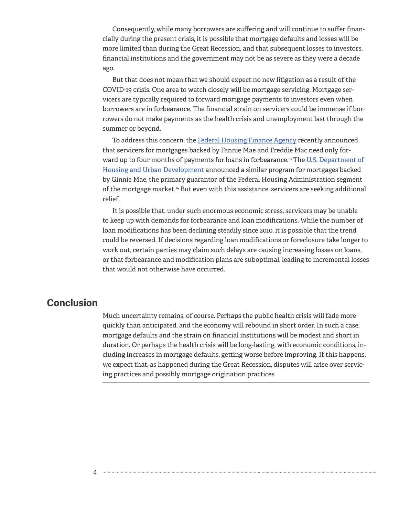Consequently, while many borrowers are suffering and will continue to suffer financially during the present crisis, it is possible that mortgage defaults and losses will be more limited than during the Great Recession, and that subsequent losses to investors, financial institutions and the government may not be as severe as they were a decade ago.

But that does not mean that we should expect no new litigation as a result of the COVID-19 crisis. One area to watch closely will be mortgage servicing. Mortgage servicers are typically required to forward mortgage payments to investors even when borrowers are in forbearance. The financial strain on servicers could be immense if borrowers do not make payments as the health crisis and unemployment last through the summer or beyond.

To address this concern, the [Federal Housing Finance Agency](https://www.law360.com/agencies/federal-housing-finance-agency) recently announced that servicers for mortgages backed by Fannie Mae and Freddie Mac need only forward up to four months of payments for loans in forbearance.<sup>13</sup> The U.S. Department of [Housing and Urban Development](https://www.law360.com/agencies/u-s-department-of-housing-and-urban-development) announced a similar program for mortgages backed by Ginnie Mae, the primary guarantor of the Federal Housing Administration segment of the mortgage market.14 But even with this assistance, servicers are seeking additional relief.

It is possible that, under such enormous economic stress, servicers may be unable to keep up with demands for forbearance and loan modifications. While the number of loan modifications has been declining steadily since 2010, it is possible that the trend could be reversed. If decisions regarding loan modifications or foreclosure take longer to work out, certain parties may claim such delays are causing increasing losses on loans, or that forbearance and modification plans are suboptimal, leading to incremental losses that would not otherwise have occurred.

## **Conclusion**

Much uncertainty remains, of course. Perhaps the public health crisis will fade more quickly than anticipated, and the economy will rebound in short order. In such a case, mortgage defaults and the strain on financial institutions will be modest and short in duration. Or perhaps the health crisis will be long-lasting, with economic conditions, including increases in mortgage defaults, getting worse before improving. If this happens, we expect that, as happened during the Great Recession, disputes will arise over servicing practices and possibly mortgage origination practices